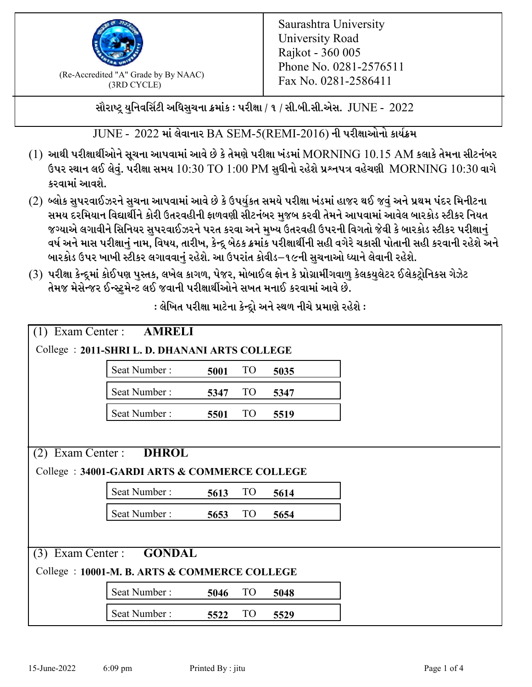

 $F_{\text{R}}$  (Re-Accredited "A" Grade by By NAAC)<br>(3PD CVCLE)<br> $F_{\text{R}}$  No. 0281-2586411 (3RD CYCLE)

સૌરાષ્ટ્ર યુનિવર્સિટી અધિસુચના ક્રમાંક : પરીક્ષા / ૧ / સી.બી.સી.એસ.  $\,$  JUNE -  $\,2022$ 

 $JUNE - 2022$  માં લેવાનાર  $BA$  SEM-5(REMI-2016) ની પરીક્ષાઓનો કાર્યક્રમ

- $(1)$  આથી પરીક્ષાર્થીઓને સૂચના આપવામાં આવે છે કે તેમણે પરીક્ષા ખંડમાં  $\operatorname{MORNING}$   $10.15$   $\operatorname{AM}$  કલાકે તેમના સીટનંબર ઉપર સ્થાન લઈ લેવું. પરીક્ષા સમય  $10:30 \text{ TO } 1:00 \text{ PM}$  સુધીનો રહેશે પ્રશ્નપત્ર વહેચણી  $\text{MORNING } 10:30$  વાગે કરવામાં આવશે.
- (2) બ્લોક સુપરવાઈઝરને સુચના આપવામાં આવે છે કે ઉપર્યુકત સમયે પરીક્ષા ખંડમાં હાજર થઈ જવું અને પ્રથમ પંદર મિનીટના સમય દરમિયાન વિદ્યાર્થીને કોરી ઉતરવહીની ફાળવણી સીટનંબર મજબ કરવી તેમને આપવામાં આવેલ બારકોડ સ્ટીકર નિયત જગ્યાએ લગાવીને સિનિયર સુપરવાઈઝરને પરત કરવા અને મુખ્ય ઉતરવહી ઉપરની વિગતો જેવી કે બારકોડ સ્ટીકર પરીક્ષ<u>ાન</u>ં વર્ષ અને માસ પરીક્ષાનું નામ, વિષય, તારીખ, કેન્દ્ર બેઠક ક્રમાંક પરીક્ષાર્થીની સહી વગેરે ચકાસી પોતાની સહી કરવાની રહેશે અને બારકોડ ઉપર ખાખી સ્ટીકર લગાવવાનં રહેશે. આ ઉપરાંત કોવીડ–૧૯ની સચનાઓ ધ્યાને લેવાની રહેશે.
- (3) પરીક્ષા કેન્દ્રમાં કોઈપણ પુસ્તક, લખેલ કાગળ, પેજર, મોબાઈલ ફોન કે પ્રોગ્રામીંગવાળુ કેલકયુલેટર ઈલેકટ્રોનિકસ ગેઝેટ તેમજ મેસેન્જર ઈન્સ્ટમેન્ટ લઈ જવાની પરીક્ષાર્થીઓને સખત મનાઈ કરવામાં આવે છે.

| Exam Center :<br><b>AMRELI</b><br>(1)        |                                                |      |                 |      |  |
|----------------------------------------------|------------------------------------------------|------|-----------------|------|--|
|                                              | College : 2011-SHRI L. D. DHANANI ARTS COLLEGE |      |                 |      |  |
|                                              | Seat Number:                                   | 5001 | <b>TO</b>       | 5035 |  |
|                                              | Seat Number:                                   | 5347 | TO <sub>1</sub> | 5347 |  |
|                                              | Seat Number:                                   | 5501 | TO              | 5519 |  |
|                                              |                                                |      |                 |      |  |
| Exam Center:<br>(2)                          | <b>DHROL</b>                                   |      |                 |      |  |
|                                              | College: 34001-GARDI ARTS & COMMERCE COLLEGE   |      |                 |      |  |
|                                              | Seat Number:                                   | 5613 | <b>TO</b>       | 5614 |  |
|                                              | Seat Number:                                   | 5653 | TO <sub>1</sub> | 5654 |  |
|                                              |                                                |      |                 |      |  |
| $(3)$ Exam Center :                          | <b>GONDAL</b>                                  |      |                 |      |  |
| College: 10001-M. B. ARTS & COMMERCE COLLEGE |                                                |      |                 |      |  |
|                                              | Seat Number:                                   | 5046 | TO <sub>1</sub> | 5048 |  |
|                                              | Seat Number:                                   | 5522 | TO <sub>1</sub> | 5529 |  |

: લેખિત પરીક્ષા માટેના કેન્દ્દો અને સ્થળ નીચે પ્રમાણે રહેશે :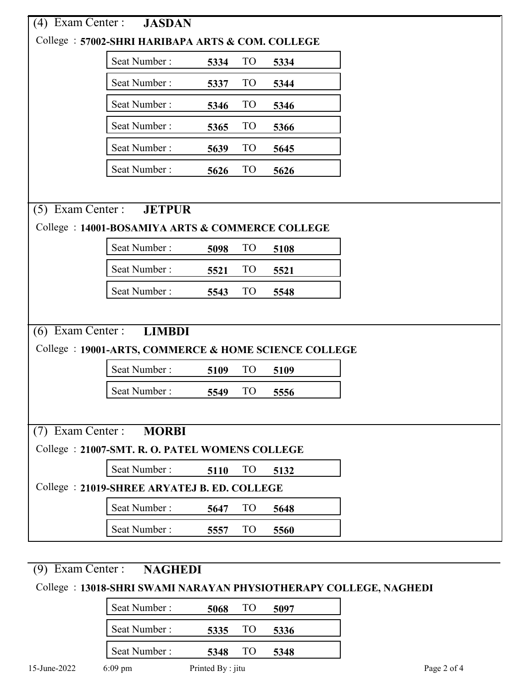| (4)                                | Exam Center : JASDAN                                  |      |                 |      |  |  |  |
|------------------------------------|-------------------------------------------------------|------|-----------------|------|--|--|--|
|                                    | College: 57002-SHRI HARIBAPA ARTS & COM. COLLEGE      |      |                 |      |  |  |  |
|                                    | Seat Number:                                          | 5334 | <b>TO</b>       | 5334 |  |  |  |
|                                    | Seat Number:                                          | 5337 | TO <sub>1</sub> | 5344 |  |  |  |
|                                    | Seat Number:                                          | 5346 | TO <sub>1</sub> | 5346 |  |  |  |
|                                    | Seat Number:                                          | 5365 | TO <sub>1</sub> | 5366 |  |  |  |
|                                    | Seat Number:                                          | 5639 | <b>TO</b>       | 5645 |  |  |  |
|                                    | Seat Number:                                          | 5626 | <b>TO</b>       | 5626 |  |  |  |
|                                    |                                                       |      |                 |      |  |  |  |
| $(5)$ Exam Center :                | <b>JETPUR</b>                                         |      |                 |      |  |  |  |
|                                    | College : 14001-BOSAMIYA ARTS & COMMERCE COLLEGE      |      |                 |      |  |  |  |
|                                    | Seat Number:                                          | 5098 | T <sub>O</sub>  | 5108 |  |  |  |
|                                    | Seat Number:                                          | 5521 | TO <sub>1</sub> | 5521 |  |  |  |
|                                    | Seat Number:                                          | 5543 | <b>TO</b>       | 5548 |  |  |  |
|                                    |                                                       |      |                 |      |  |  |  |
| $(6)$ Exam Center:                 | <b>LIMBDI</b>                                         |      |                 |      |  |  |  |
|                                    | College : 19001-ARTS, COMMERCE & HOME SCIENCE COLLEGE |      |                 |      |  |  |  |
|                                    | Seat Number:                                          | 5109 | <b>TO</b>       | 5109 |  |  |  |
|                                    | Seat Number:                                          | 5549 | <b>TO</b>       | 5556 |  |  |  |
|                                    |                                                       |      |                 |      |  |  |  |
| $(7)$ Exam Center:<br><b>MORBI</b> |                                                       |      |                 |      |  |  |  |
|                                    | College : 21007-SMT. R. O. PATEL WOMENS COLLEGE       |      |                 |      |  |  |  |
|                                    | Seat Number:                                          | 5110 | TO <sub>1</sub> | 5132 |  |  |  |
|                                    | College: 21019-SHREE ARYATEJ B. ED. COLLEGE           |      |                 |      |  |  |  |
|                                    | Seat Number:                                          | 5647 | T <sub>O</sub>  | 5648 |  |  |  |
|                                    | Seat Number:                                          | 5557 | <b>TO</b>       | 5560 |  |  |  |

## (9) Exam Center : **NAGHEDI**

## College : **13018-SHRI SWAMI NARAYAN PHYSIOTHERAPY COLLEGE, NAGHEDI**

| Seat Number: | 5068 | 5097 |  |
|--------------|------|------|--|
| Seat Number: | 5335 | 5336 |  |
| Seat Number: | 5348 | 5348 |  |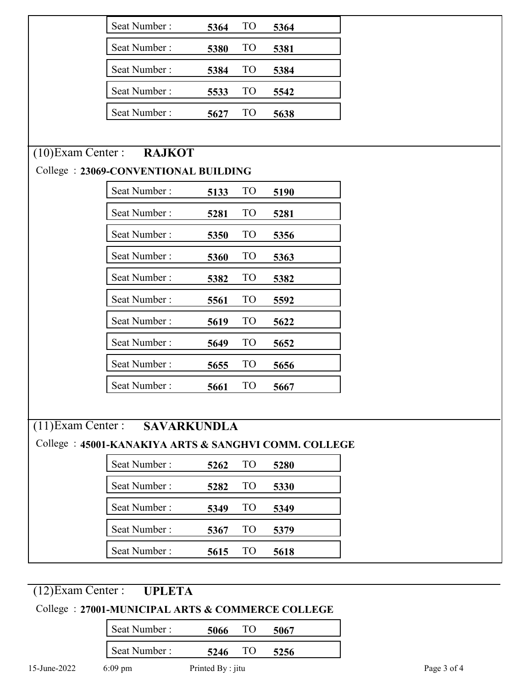|                      | Seat Number:                                         | 5364 | TO <sub>1</sub> | 5364 |  |
|----------------------|------------------------------------------------------|------|-----------------|------|--|
|                      | Seat Number:                                         | 5380 | T <sub>O</sub>  | 5381 |  |
|                      | Seat Number:                                         | 5384 | T <sub>O</sub>  | 5384 |  |
|                      | Seat Number:                                         | 5533 | T <sub>O</sub>  | 5542 |  |
|                      | Seat Number:                                         | 5627 | T <sub>O</sub>  | 5638 |  |
|                      |                                                      |      |                 |      |  |
| $(10)$ Exam Center : | <b>RAJKOT</b>                                        |      |                 |      |  |
|                      | College: 23069-CONVENTIONAL BUILDING                 |      |                 |      |  |
|                      | Seat Number:                                         | 5133 | <b>TO</b>       | 5190 |  |
|                      | Seat Number:                                         | 5281 | TO <sub>1</sub> | 5281 |  |
|                      | Seat Number:                                         | 5350 | T <sub>O</sub>  | 5356 |  |
|                      | Seat Number:                                         | 5360 | T <sub>O</sub>  | 5363 |  |
|                      | Seat Number:                                         | 5382 | <b>TO</b>       | 5382 |  |
|                      | Seat Number:                                         | 5561 | <b>TO</b>       | 5592 |  |
|                      | Seat Number:                                         | 5619 | T <sub>O</sub>  | 5622 |  |
|                      | Seat Number:                                         | 5649 | T <sub>O</sub>  | 5652 |  |
|                      | Seat Number:                                         | 5655 | T <sub>O</sub>  | 5656 |  |
|                      | Seat Number:                                         | 5661 | T <sub>O</sub>  | 5667 |  |
|                      |                                                      |      |                 |      |  |
| $(11)$ Exam Center : | <b>SAVARKUNDLA</b>                                   |      |                 |      |  |
|                      | College: 45001-KANAKIYA ARTS & SANGHVI COMM. COLLEGE |      |                 |      |  |
|                      | Seat Number:                                         | 5262 | TO <sub>1</sub> | 5280 |  |
|                      | Seat Number:                                         | 5282 | <b>TO</b>       | 5330 |  |
|                      | Seat Number:                                         | 5349 | T <sub>O</sub>  | 5349 |  |
|                      | Seat Number:                                         | 5367 | <b>TO</b>       | 5379 |  |
|                      | Seat Number:                                         | 5615 | TO <sub>1</sub> | 5618 |  |

## (12)Exam Center : **UPLETA**

## College : **27001-MUNICIPAL ARTS & COMMERCE COLLEGE**

|              | Seat Number:      | 5066              | 5067 |
|--------------|-------------------|-------------------|------|
|              | Seat Number:      | 5246              | 5256 |
| 15-June-2022 | $6:09 \text{ pm}$ | Printed By : jitu |      |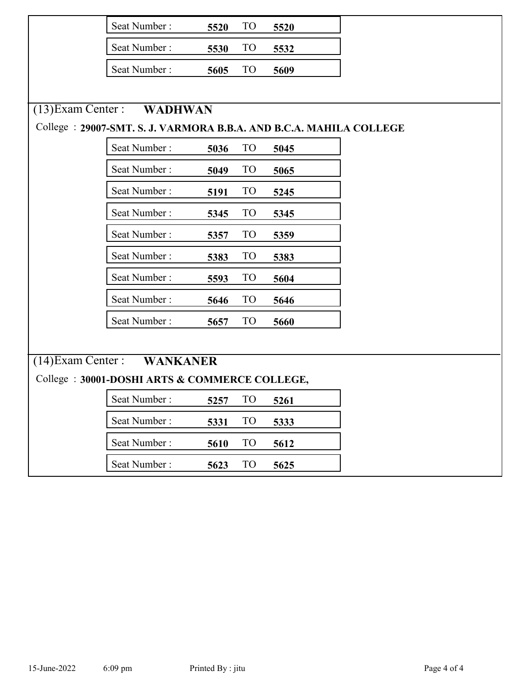|                      | Seat Number:                                                        | 5520 | TO <sub>1</sub> | 5520    |  |
|----------------------|---------------------------------------------------------------------|------|-----------------|---------|--|
|                      | Seat Number:                                                        | 5530 | T <sub>O</sub>  | 5532    |  |
|                      | Seat Number:                                                        | 5605 | TO <sub>1</sub> | 5609    |  |
|                      |                                                                     |      |                 |         |  |
| $(13)$ Exam Center : | WADHWAN                                                             |      |                 |         |  |
|                      | College : 29007-SMT. S. J. VARMORA B.B.A. AND B.C.A. MAHILA COLLEGE |      |                 |         |  |
|                      | Seat Number:                                                        | 5036 | T <sub>O</sub>  | 5045    |  |
|                      | Seat Number:                                                        | 5049 | <b>TO</b>       | 5065    |  |
|                      | Seat Number:                                                        | 5191 | <b>TO</b>       | 5245    |  |
|                      | Seat Number:                                                        | 5345 | T <sub>O</sub>  | 5345    |  |
|                      | Seat Number:                                                        | 5357 | <b>TO</b>       | 5359    |  |
|                      | Seat Number:                                                        | 5383 | T <sub>O</sub>  | 5383    |  |
|                      | Seat Number:                                                        | 5593 | TO <sub>1</sub> | 5604    |  |
|                      | Seat Number:                                                        | 5646 | T <sub>O</sub>  | 5646    |  |
|                      | Seat Number:                                                        | 5657 | TO <sub>1</sub> | 5660    |  |
|                      |                                                                     |      |                 |         |  |
| $(14)$ Exam Center : | <b>WANKANER</b>                                                     |      |                 |         |  |
|                      | College: 30001-DOSHI ARTS & COMMERCE COLLEGE,                       |      |                 |         |  |
|                      | Seat Number:                                                        | 5257 |                 | TO 5261 |  |
|                      | Seat Number:                                                        | 5331 | TO <sub>1</sub> | 5333    |  |
|                      | Seat Number:                                                        | 5610 | TO <sub>1</sub> | 5612    |  |
|                      | Seat Number:                                                        | 5623 | TO              | 5625    |  |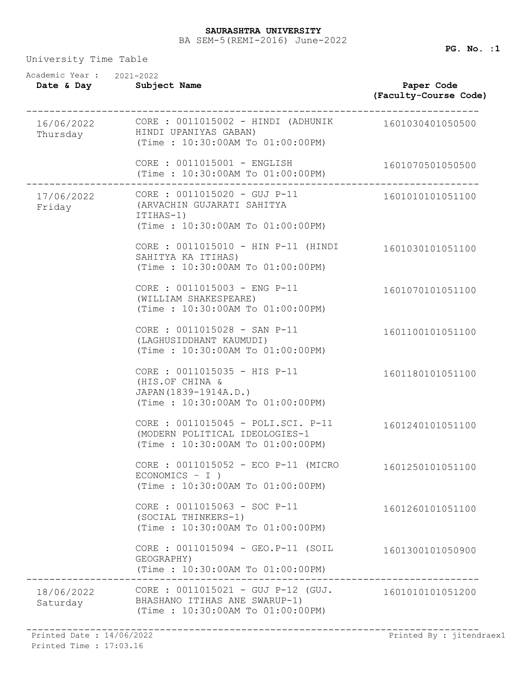| Academic Year: 2021-2022<br>Date & Day | Subject Name                                                                                                 | Paper Code<br>(Faculty-Course Code) |
|----------------------------------------|--------------------------------------------------------------------------------------------------------------|-------------------------------------|
| 16/06/2022<br>Thursday                 | CORE : 0011015002 - HINDI (ADHUNIK<br>HINDI UPANIYAS GABAN)<br>(Time: 10:30:00AM To 01:00:00PM)              | 1601030401050500                    |
|                                        | CORE : 0011015001 - ENGLISH<br>(Time: 10:30:00AM To 01:00:00PM)                                              | 1601070501050500                    |
| 17/06/2022<br>Friday                   | CORE : 0011015020 - GUJ P-11<br>(ARVACHIN GUJARATI SAHITYA<br>ITIHAS-1)<br>(Time: 10:30:00AM To 01:00:00PM)  | 1601010101051100                    |
|                                        | CORE : 0011015010 - HIN P-11 (HINDI<br>SAHITYA KA ITIHAS)<br>(Time: 10:30:00AM To 01:00:00PM)                | 1601030101051100                    |
|                                        | CORE : 0011015003 - ENG P-11<br>(WILLIAM SHAKESPEARE)<br>(Time: 10:30:00AM To 01:00:00PM)                    | 1601070101051100                    |
|                                        | CORE : 0011015028 - SAN P-11<br>(LAGHUSIDDHANT KAUMUDI)<br>(Time: 10:30:00AM To 01:00:00PM)                  | 1601100101051100                    |
|                                        | CORE : 0011015035 - HIS P-11<br>(HIS.OF CHINA &<br>JAPAN (1839-1914A.D.)<br>(Time: 10:30:00AM To 01:00:00PM) | 1601180101051100                    |
|                                        | CORE : 0011015045 - POLI.SCI. P-11<br>(MODERN POLITICAL IDEOLOGIES-1<br>(Time: 10:30:00AM To 01:00:00PM)     | 1601240101051100                    |
|                                        | CORE : 0011015052 - ECO P-11 (MICRO<br>$ECONOMICS - I)$<br>(Time: 10:30:00AM To 01:00:00PM)                  | 1601250101051100                    |
|                                        | CORE : 0011015063 - SOC P-11<br>(SOCIAL THINKERS-1)<br>(Time: 10:30:00AM To 01:00:00PM)                      | 1601260101051100                    |
|                                        | CORE : 0011015094 - GEO.P-11 (SOIL<br>GEOGRAPHY)<br>(Time: 10:30:00AM To 01:00:00PM)                         | 1601300101050900                    |
| 18/06/2022<br>Saturday                 | CORE : 0011015021 - GUJ P-12 (GUJ.<br>BHASHANO ITIHAS ANE SWARUP-1)<br>(Time: 10:30:00AM To 01:00:00PM)      | 1601010101051200                    |

Printed Time : 17:03.16

------------------------------------------------------------------------------ Printed Date : 14/06/2022 Printed By : jitendraex1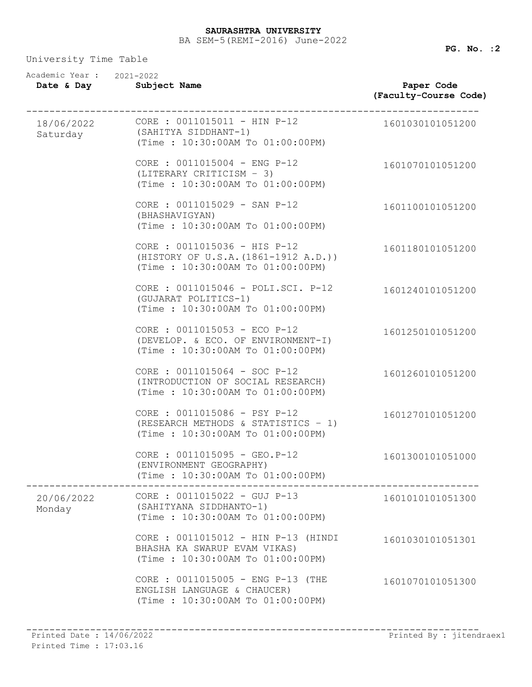| Academic Year: 2021-2022<br>Date & Day | Subject Name                                                                                             | Paper Code<br>(Faculty-Course Code) |
|----------------------------------------|----------------------------------------------------------------------------------------------------------|-------------------------------------|
| Saturday                               | 18/06/2022 CORE : 0011015011 - HIN P-12<br>(SAHITYA SIDDHANT-1)<br>(Time: 10:30:00AM To 01:00:00PM)      | 1601030101051200                    |
|                                        | CORE : 0011015004 - ENG P-12<br>(LITERARY CRITICISM - 3)<br>(Time: 10:30:00AM To 01:00:00PM)             | 1601070101051200                    |
|                                        | CORE : 0011015029 - SAN P-12<br>(BHASHAVIGYAN)<br>(Time: 10:30:00AM To 01:00:00PM)                       | 1601100101051200                    |
|                                        | CORE : 0011015036 - HIS P-12<br>(HISTORY OF U.S.A. (1861-1912 A.D.))<br>(Time: 10:30:00AM To 01:00:00PM) | 1601180101051200                    |
|                                        | CORE : 0011015046 - POLI.SCI. P-12<br>(GUJARAT POLITICS-1)<br>(Time: 10:30:00AM To 01:00:00PM)           | 1601240101051200                    |
|                                        | CORE : 0011015053 - ECO P-12<br>(DEVELOP. & ECO. OF ENVIRONMENT-I)<br>(Time: 10:30:00AM To 01:00:00PM)   | 1601250101051200                    |
|                                        | CORE : 0011015064 - SOC P-12<br>(INTRODUCTION OF SOCIAL RESEARCH)<br>(Time: 10:30:00AM To 01:00:00PM)    | 1601260101051200                    |
|                                        | CORE : 0011015086 - PSY P-12<br>(RESEARCH METHODS & STATISTICS - 1)<br>(Time: 10:30:00AM To 01:00:00PM)  | 1601270101051200                    |
|                                        | CORE : 0011015095 - GEO.P-12<br>(ENVIRONMENT GEOGRAPHY)<br>(Time: 10:30:00AM To 01:00:00PM)              | 1601300101051000                    |
| 20/06/2022<br>Monday                   | CORE : 0011015022 - GUJ P-13<br>(SAHITYANA SIDDHANTO-1)<br>(Time: 10:30:00AM To 01:00:00PM)              | 1601010101051300                    |
|                                        | CORE : 0011015012 - HIN P-13 (HINDI<br>BHASHA KA SWARUP EVAM VIKAS)<br>(Time: 10:30:00AM To 01:00:00PM)  | 1601030101051301                    |
|                                        | CORE : 0011015005 - ENG P-13 (THE<br>ENGLISH LANGUAGE & CHAUCER)<br>(Time: 10:30:00AM To 01:00:00PM)     | 1601070101051300                    |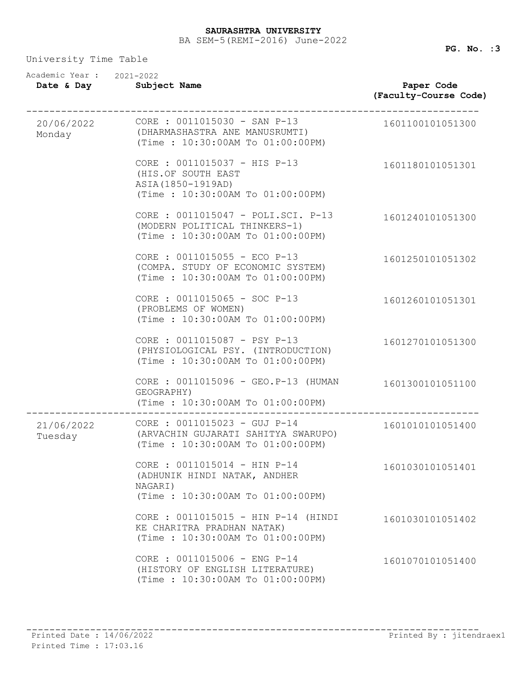| Academic Year: 2021-2022<br>Date & Day | Subject Name                                                                                                 | Paper Code<br>(Faculty-Course Code) |
|----------------------------------------|--------------------------------------------------------------------------------------------------------------|-------------------------------------|
| 20/06/2022<br>Monday                   | CORE : 0011015030 - SAN P-13<br>(DHARMASHASTRA ANE MANUSRUMTI)<br>(Time: 10:30:00AM To 01:00:00PM)           | 1601100101051300                    |
|                                        | CORE : 0011015037 - HIS P-13<br>(HIS.OF SOUTH EAST<br>ASIA (1850-1919AD)<br>(Time: 10:30:00AM To 01:00:00PM) | 1601180101051301                    |
|                                        | CORE : 0011015047 - POLI.SCI. P-13<br>(MODERN POLITICAL THINKERS-1)<br>(Time: 10:30:00AM To 01:00:00PM)      | 1601240101051300                    |
|                                        | CORE : 0011015055 - ECO P-13<br>(COMPA. STUDY OF ECONOMIC SYSTEM)<br>(Time: 10:30:00AM To 01:00:00PM)        | 1601250101051302                    |
|                                        | CORE : 0011015065 - SOC P-13<br>(PROBLEMS OF WOMEN)<br>(Time: 10:30:00AM To 01:00:00PM)                      | 1601260101051301                    |
|                                        | CORE : 0011015087 - PSY P-13<br>(PHYSIOLOGICAL PSY. (INTRODUCTION)<br>(Time: 10:30:00AM To 01:00:00PM)       | 1601270101051300                    |
|                                        | CORE : 0011015096 - GEO.P-13 (HUMAN<br>GEOGRAPHY)<br>(Time : 10:30:00AM To 01:00:00PM)                       | 1601300101051100                    |
| 21/06/2022<br>Tuesday                  | CORE : 0011015023 - GUJ P-14<br>(ARVACHIN GUJARATI SAHITYA SWARUPO)<br>(Time: 10:30:00AM To 01:00:00PM)      | 1601010101051400                    |
|                                        | CORE : 0011015014 - HIN P-14<br>(ADHUNIK HINDI NATAK, ANDHER<br>NAGARI)<br>(Time: 10:30:00AM To 01:00:00PM)  | 1601030101051401                    |
|                                        | CORE : 0011015015 - HIN P-14 (HINDI<br>KE CHARITRA PRADHAN NATAK)<br>(Time: 10:30:00AM To 01:00:00PM)        | 1601030101051402                    |
|                                        | CORE : 0011015006 - ENG P-14<br>(HISTORY OF ENGLISH LITERATURE)<br>(Time: 10:30:00AM To 01:00:00PM)          | 1601070101051400                    |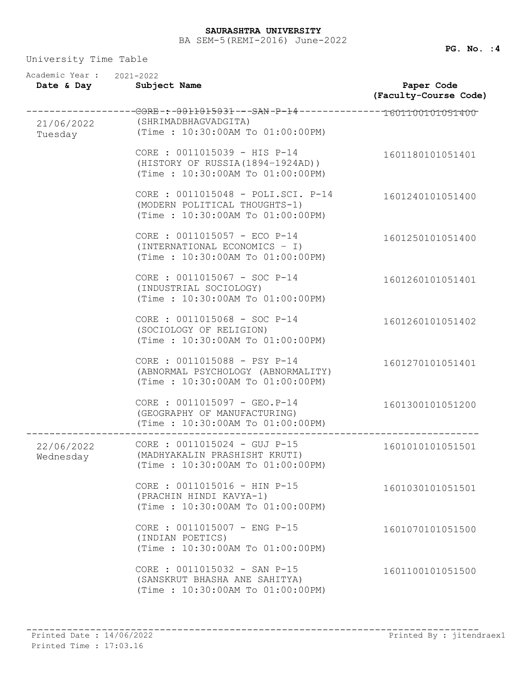| Academic Year: 2021-2022<br>Date & Day | Subject Name                                                                                                                    | Paper Code<br>(Faculty-Course Code) |
|----------------------------------------|---------------------------------------------------------------------------------------------------------------------------------|-------------------------------------|
| 21/06/2022<br>Tuesday                  | --------GORE-:-0011015031---SAN-P-14---------------1601100101051400<br>(SHRIMADBHAGVADGITA)<br>(Time: 10:30:00AM To 01:00:00PM) |                                     |
|                                        | CORE : 0011015039 - HIS P-14<br>(HISTORY OF RUSSIA (1894-1924AD))<br>(Time: 10:30:00AM To 01:00:00PM)                           | 1601180101051401                    |
|                                        | CORE : 0011015048 - POLI.SCI. P-14<br>(MODERN POLITICAL THOUGHTS-1)<br>(Time: 10:30:00AM To 01:00:00PM)                         | 1601240101051400                    |
|                                        | CORE : 0011015057 - ECO P-14<br>(INTERNATIONAL ECONOMICS - I)<br>(Time: 10:30:00AM To 01:00:00PM)                               | 1601250101051400                    |
|                                        | CORE : 0011015067 - SOC P-14<br>(INDUSTRIAL SOCIOLOGY)<br>(Time: 10:30:00AM To 01:00:00PM)                                      | 1601260101051401                    |
|                                        | CORE : 0011015068 - SOC P-14<br>(SOCIOLOGY OF RELIGION)<br>(Time: 10:30:00AM To 01:00:00PM)                                     | 1601260101051402                    |
|                                        | CORE : 0011015088 - PSY P-14<br>(ABNORMAL PSYCHOLOGY (ABNORMALITY)<br>(Time: 10:30:00AM To 01:00:00PM)                          | 1601270101051401                    |
|                                        | CORE : 0011015097 - GEO.P-14<br>(GEOGRAPHY OF MANUFACTURING)<br>(Time: 10:30:00AM To 01:00:00PM)                                | 1601300101051200                    |
| 22/06/2022<br>Wednesday                | CORE : 0011015024 - GUJ P-15<br>(MADHYAKALIN PRASHISHT KRUTI)<br>(Time: 10:30:00AM To 01:00:00PM)                               | 1601010101051501                    |
|                                        | CORE : 0011015016 - HIN P-15<br>(PRACHIN HINDI KAVYA-1)<br>(Time: 10:30:00AM To 01:00:00PM)                                     | 1601030101051501                    |
|                                        | CORE : 0011015007 - ENG P-15<br>(INDIAN POETICS)<br>(Time: 10:30:00AM To 01:00:00PM)                                            | 1601070101051500                    |
|                                        | CORE : 0011015032 - SAN P-15<br>(SANSKRUT BHASHA ANE SAHITYA)<br>(Time: 10:30:00AM To 01:00:00PM)                               | 1601100101051500                    |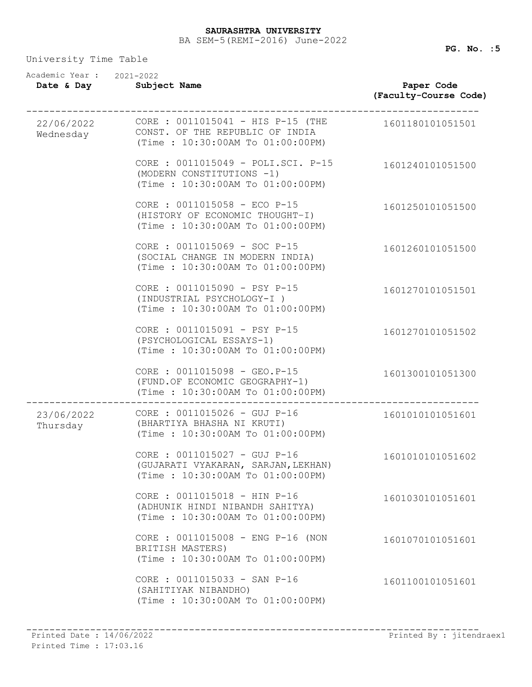| Academic Year: 2021-2022<br>Date & Day | Subject Name                                                                                               | Paper Code<br>(Faculty-Course Code) |
|----------------------------------------|------------------------------------------------------------------------------------------------------------|-------------------------------------|
| 22/06/2022<br>Wednesday                | CORE : $0011015041 - HIS P-15$ (THE<br>CONST. OF THE REPUBLIC OF INDIA<br>(Time: 10:30:00AM To 01:00:00PM) | 1601180101051501                    |
|                                        | CORE : 0011015049 - POLI.SCI. P-15<br>(MODERN CONSTITUTIONS -1)<br>(Time: 10:30:00AM To 01:00:00PM)        | 1601240101051500                    |
|                                        | CORE : 0011015058 - ECO P-15<br>(HISTORY OF ECONOMIC THOUGHT-I)<br>(Time: 10:30:00AM To 01:00:00PM)        | 1601250101051500                    |
|                                        | CORE : 0011015069 - SOC P-15<br>(SOCIAL CHANGE IN MODERN INDIA)<br>(Time: 10:30:00AM To 01:00:00PM)        | 1601260101051500                    |
|                                        | CORE : 0011015090 - PSY P-15<br>(INDUSTRIAL PSYCHOLOGY-I)<br>(Time: 10:30:00AM To 01:00:00PM)              | 1601270101051501                    |
|                                        | CORE : 0011015091 - PSY P-15<br>(PSYCHOLOGICAL ESSAYS-1)<br>(Time: 10:30:00AM To 01:00:00PM)               | 1601270101051502                    |
|                                        | CORE : 0011015098 - GEO.P-15<br>(FUND.OF ECONOMIC GEOGRAPHY-1)<br>(Time : 10:30:00AM To 01:00:00PM)        | 1601300101051300                    |
| 23/06/2022<br>Thursday                 | CORE : 0011015026 - GUJ P-16<br>(BHARTIYA BHASHA NI KRUTI)<br>(Time: 10:30:00AM To 01:00:00PM)             | 1601010101051601                    |
|                                        | CORE : 0011015027 - GUJ P-16<br>(GUJARATI VYAKARAN, SARJAN, LEKHAN)<br>(Time: 10:30:00AM To 01:00:00PM)    | 1601010101051602                    |
|                                        | CORE : 0011015018 - HIN P-16<br>(ADHUNIK HINDI NIBANDH SAHITYA)<br>(Time: 10:30:00AM To 01:00:00PM)        | 1601030101051601                    |
|                                        | CORE : 0011015008 - ENG P-16 (NON<br>BRITISH MASTERS)<br>(Time: 10:30:00AM To 01:00:00PM)                  | 1601070101051601                    |
|                                        | CORE : 0011015033 - SAN P-16<br>(SAHITIYAK NIBANDHO)<br>(Time: 10:30:00AM To 01:00:00PM)                   | 1601100101051601                    |